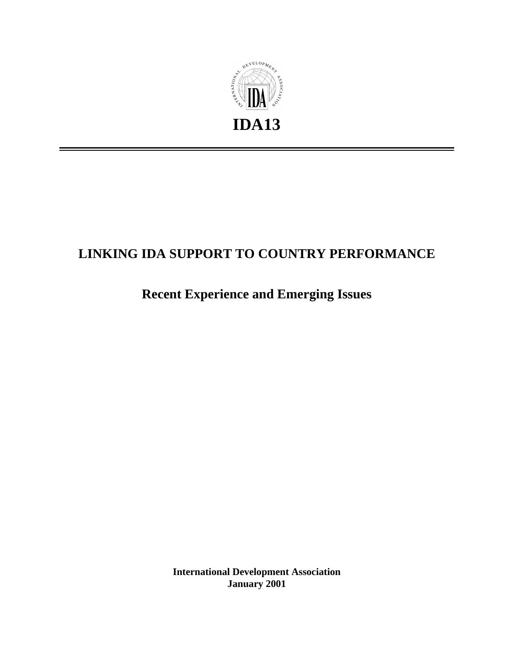

# **LINKING IDA SUPPORT TO COUNTRY PERFORMANCE**

# **Recent Experience and Emerging Issues**

**International Development Association January 2001**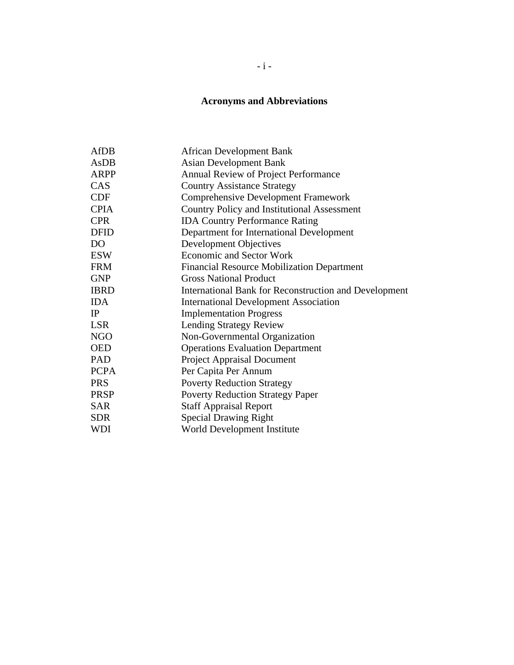# **Acronyms and Abbreviations**

| <b>AfDB</b>    | <b>African Development Bank</b>                       |
|----------------|-------------------------------------------------------|
| AsDB           | <b>Asian Development Bank</b>                         |
| <b>ARPP</b>    | Annual Review of Project Performance                  |
| CAS            | <b>Country Assistance Strategy</b>                    |
| <b>CDF</b>     | <b>Comprehensive Development Framework</b>            |
| <b>CPIA</b>    | <b>Country Policy and Institutional Assessment</b>    |
| <b>CPR</b>     | <b>IDA Country Performance Rating</b>                 |
| <b>DFID</b>    | Department for International Development              |
| D <sub>O</sub> | Development Objectives                                |
| <b>ESW</b>     | <b>Economic and Sector Work</b>                       |
| <b>FRM</b>     | <b>Financial Resource Mobilization Department</b>     |
| <b>GNP</b>     | <b>Gross National Product</b>                         |
| <b>IBRD</b>    | International Bank for Reconstruction and Development |
| <b>IDA</b>     | <b>International Development Association</b>          |
| IP             | <b>Implementation Progress</b>                        |
| <b>LSR</b>     | <b>Lending Strategy Review</b>                        |
| <b>NGO</b>     | Non-Governmental Organization                         |
| <b>OED</b>     | <b>Operations Evaluation Department</b>               |
| PAD            | <b>Project Appraisal Document</b>                     |
| <b>PCPA</b>    | Per Capita Per Annum                                  |
| <b>PRS</b>     | <b>Poverty Reduction Strategy</b>                     |
| <b>PRSP</b>    | <b>Poverty Reduction Strategy Paper</b>               |
| <b>SAR</b>     | <b>Staff Appraisal Report</b>                         |
| <b>SDR</b>     | <b>Special Drawing Right</b>                          |
| WDI            | World Development Institute                           |
|                |                                                       |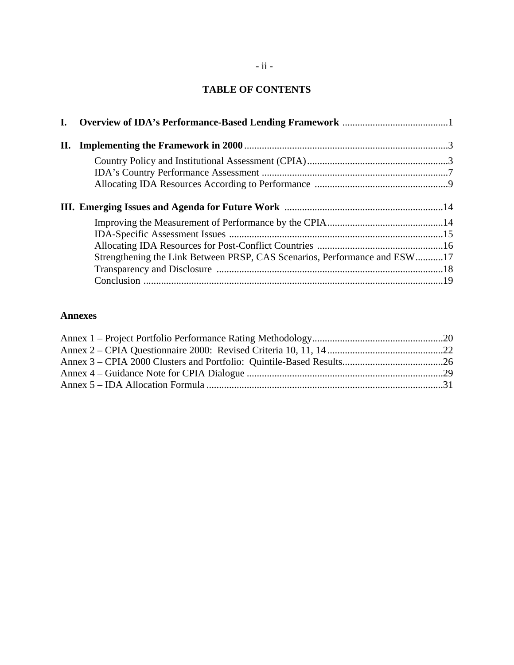# **TABLE OF CONTENTS**

| Strengthening the Link Between PRSP, CAS Scenarios, Performance and ESW17 |  |
|---------------------------------------------------------------------------|--|
|                                                                           |  |
|                                                                           |  |

## **Annexes**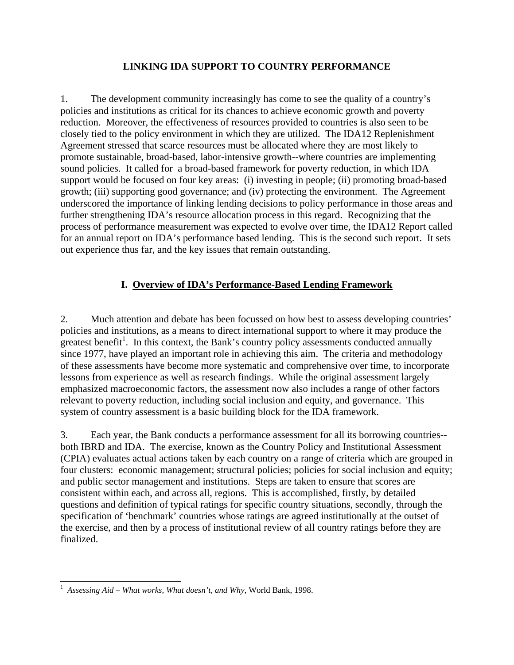# **LINKING IDA SUPPORT TO COUNTRY PERFORMANCE**

1. The development community increasingly has come to see the quality of a country's policies and institutions as critical for its chances to achieve economic growth and poverty reduction. Moreover, the effectiveness of resources provided to countries is also seen to be closely tied to the policy environment in which they are utilized. The IDA12 Replenishment Agreement stressed that scarce resources must be allocated where they are most likely to promote sustainable, broad-based, labor-intensive growth--where countries are implementing sound policies. It called for a broad-based framework for poverty reduction, in which IDA support would be focused on four key areas: (i) investing in people; (ii) promoting broad-based growth; (iii) supporting good governance; and (iv) protecting the environment. The Agreement underscored the importance of linking lending decisions to policy performance in those areas and further strengthening IDA's resource allocation process in this regard. Recognizing that the process of performance measurement was expected to evolve over time, the IDA12 Report called for an annual report on IDA's performance based lending. This is the second such report. It sets out experience thus far, and the key issues that remain outstanding.

# **I. Overview of IDA's Performance-Based Lending Framework**

2. Much attention and debate has been focussed on how best to assess developing countries' policies and institutions, as a means to direct international support to where it may produce the greatest benefit<sup>1</sup>. In this context, the Bank's country policy assessments conducted annually since 1977, have played an important role in achieving this aim. The criteria and methodology of these assessments have become more systematic and comprehensive over time, to incorporate lessons from experience as well as research findings. While the original assessment largely emphasized macroeconomic factors, the assessment now also includes a range of other factors relevant to poverty reduction, including social inclusion and equity, and governance. This system of country assessment is a basic building block for the IDA framework.

3. Each year, the Bank conducts a performance assessment for all its borrowing countries- both IBRD and IDA. The exercise, known as the Country Policy and Institutional Assessment (CPIA) evaluates actual actions taken by each country on a range of criteria which are grouped in four clusters: economic management; structural policies; policies for social inclusion and equity; and public sector management and institutions. Steps are taken to ensure that scores are consistent within each, and across all, regions. This is accomplished, firstly, by detailed questions and definition of typical ratings for specific country situations, secondly, through the specification of 'benchmark' countries whose ratings are agreed institutionally at the outset of the exercise, and then by a process of institutional review of all country ratings before they are finalized.

 1 *Assessing Aid – What works, What doesn't, and Why*, World Bank, 1998.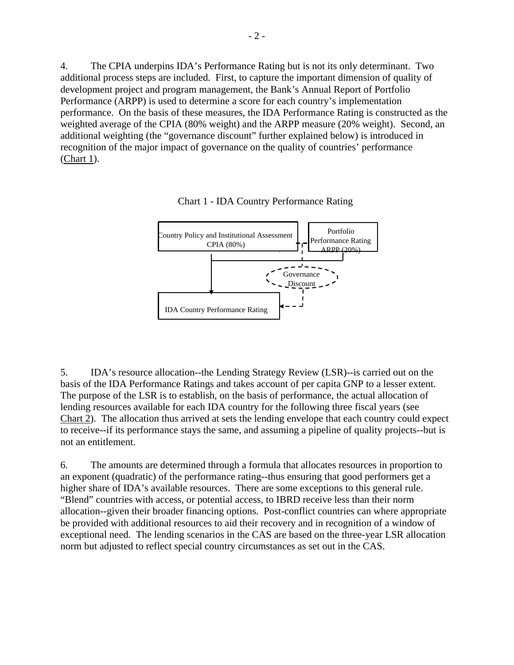4. The CPIA underpins IDA's Performance Rating but is not its only determinant. Two additional process steps are included. First, to capture the important dimension of quality of development project and program management, the Bank's Annual Report of Portfolio Performance (ARPP) is used to determine a score for each country's implementation performance. On the basis of these measures, the IDA Performance Rating is constructed as the weighted average of the CPIA (80% weight) and the ARPP measure (20% weight). Second, an additional weighting (the "governance discount" further explained below) is introduced in recognition of the major impact of governance on the quality of countries' performance (Chart 1).



Chart 1 - IDA Country Performance Rating

5. IDA's resource allocation--the Lending Strategy Review (LSR)--is carried out on the basis of the IDA Performance Ratings and takes account of per capita GNP to a lesser extent. The purpose of the LSR is to establish, on the basis of performance, the actual allocation of lending resources available for each IDA country for the following three fiscal years (see Chart 2). The allocation thus arrived at sets the lending envelope that each country could expect to receive--if its performance stays the same, and assuming a pipeline of quality projects--but is not an entitlement.

6. The amounts are determined through a formula that allocates resources in proportion to an exponent (quadratic) of the performance rating--thus ensuring that good performers get a higher share of IDA's available resources. There are some exceptions to this general rule. "Blend" countries with access, or potential access, to IBRD receive less than their norm allocation--given their broader financing options. Post-conflict countries can where appropriate be provided with additional resources to aid their recovery and in recognition of a window of exceptional need. The lending scenarios in the CAS are based on the three-year LSR allocation norm but adjusted to reflect special country circumstances as set out in the CAS.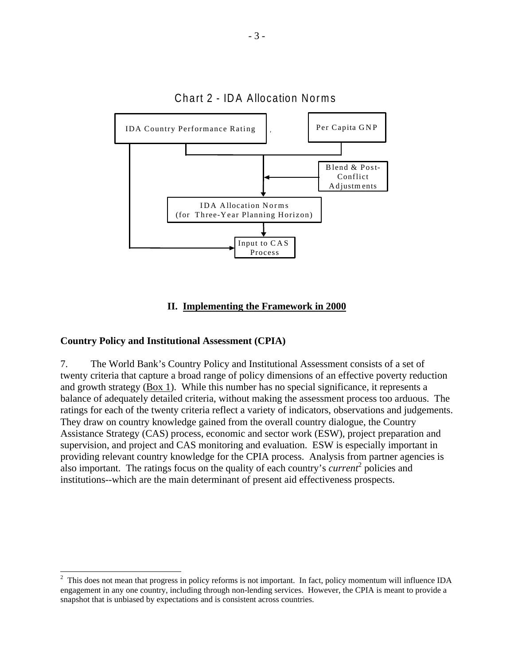

# Chart 2 - IDA Allocation Norms

## **II. Implementing the Framework in 2000**

#### **Country Policy and Institutional Assessment (CPIA)**

 $\overline{a}$ 

7. The World Bank's Country Policy and Institutional Assessment consists of a set of twenty criteria that capture a broad range of policy dimensions of an effective poverty reduction and growth strategy (Box 1). While this number has no special significance, it represents a balance of adequately detailed criteria, without making the assessment process too arduous. The ratings for each of the twenty criteria reflect a variety of indicators, observations and judgements. They draw on country knowledge gained from the overall country dialogue, the Country Assistance Strategy (CAS) process, economic and sector work (ESW), project preparation and supervision, and project and CAS monitoring and evaluation. ESW is especially important in providing relevant country knowledge for the CPIA process. Analysis from partner agencies is also important. The ratings focus on the quality of each country's *current*<sup>2</sup> policies and institutions--which are the main determinant of present aid effectiveness prospects.

 $2$  This does not mean that progress in policy reforms is not important. In fact, policy momentum will influence IDA engagement in any one country, including through non-lending services. However, the CPIA is meant to provide a snapshot that is unbiased by expectations and is consistent across countries.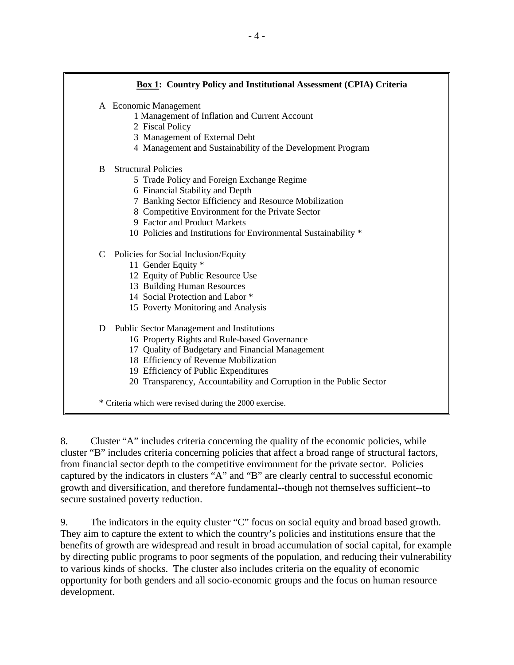# **Box 1: Country Policy and Institutional Assessment (CPIA) Criteria** A Economic Management 1 Management of Inflation and Current Account 2 Fiscal Policy 3 Management of External Debt 4 Management and Sustainability of the Development Program B Structural Policies 5 Trade Policy and Foreign Exchange Regime 6 Financial Stability and Depth 7 Banking Sector Efficiency and Resource Mobilization 8 Competitive Environment for the Private Sector 9 Factor and Product Markets 10 Policies and Institutions for Environmental Sustainability \* C Policies for Social Inclusion/Equity 11 Gender Equity \* 12 Equity of Public Resource Use 13 Building Human Resources 14 Social Protection and Labor \* 15 Poverty Monitoring and Analysis D Public Sector Management and Institutions 16 Property Rights and Rule-based Governance 17 Quality of Budgetary and Financial Management 18 Efficiency of Revenue Mobilization 19 Efficiency of Public Expenditures 20 Transparency, Accountability and Corruption in the Public Sector \* Criteria which were revised during the 2000 exercise.

8. Cluster "A" includes criteria concerning the quality of the economic policies, while cluster "B" includes criteria concerning policies that affect a broad range of structural factors, from financial sector depth to the competitive environment for the private sector. Policies captured by the indicators in clusters "A" and "B" are clearly central to successful economic growth and diversification, and therefore fundamental--though not themselves sufficient--to secure sustained poverty reduction.

9. The indicators in the equity cluster "C" focus on social equity and broad based growth. They aim to capture the extent to which the country's policies and institutions ensure that the benefits of growth are widespread and result in broad accumulation of social capital, for example by directing public programs to poor segments of the population, and reducing their vulnerability to various kinds of shocks. The cluster also includes criteria on the equality of economic opportunity for both genders and all socio-economic groups and the focus on human resource development.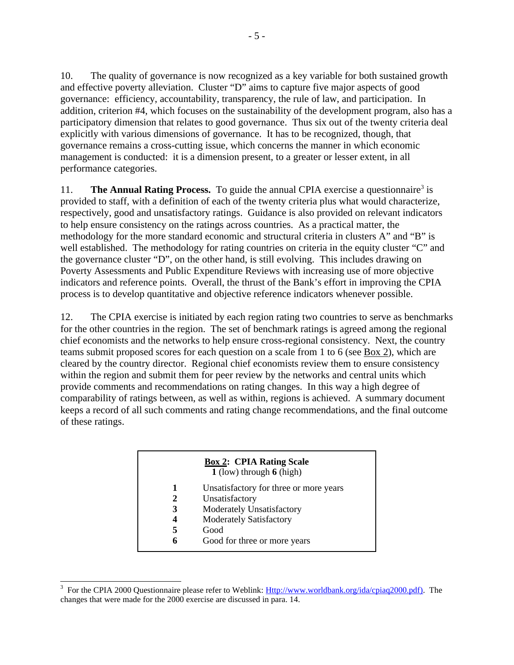10. The quality of governance is now recognized as a key variable for both sustained growth and effective poverty alleviation. Cluster "D" aims to capture five major aspects of good governance: efficiency, accountability, transparency, the rule of law, and participation. In addition, criterion #4, which focuses on the sustainability of the development program, also has a participatory dimension that relates to good governance. Thus six out of the twenty criteria deal explicitly with various dimensions of governance. It has to be recognized, though, that governance remains a cross-cutting issue, which concerns the manner in which economic management is conducted: it is a dimension present, to a greater or lesser extent, in all performance categories.

11. **The Annual Rating Process.** To guide the annual CPIA exercise a questionnaire<sup>3</sup> is provided to staff, with a definition of each of the twenty criteria plus what would characterize, respectively, good and unsatisfactory ratings. Guidance is also provided on relevant indicators to help ensure consistency on the ratings across countries. As a practical matter, the methodology for the more standard economic and structural criteria in clusters A" and "B" is well established. The methodology for rating countries on criteria in the equity cluster "C" and the governance cluster "D", on the other hand, is still evolving. This includes drawing on Poverty Assessments and Public Expenditure Reviews with increasing use of more objective indicators and reference points. Overall, the thrust of the Bank's effort in improving the CPIA process is to develop quantitative and objective reference indicators whenever possible.

12. The CPIA exercise is initiated by each region rating two countries to serve as benchmarks for the other countries in the region. The set of benchmark ratings is agreed among the regional chief economists and the networks to help ensure cross-regional consistency. Next, the country teams submit proposed scores for each question on a scale from 1 to 6 (see Box 2), which are cleared by the country director. Regional chief economists review them to ensure consistency within the region and submit them for peer review by the networks and central units which provide comments and recommendations on rating changes. In this way a high degree of comparability of ratings between, as well as within, regions is achieved. A summary document keeps a record of all such comments and rating change recommendations, and the final outcome of these ratings.

|   | <b>Box 2: CPIA Rating Scale</b><br>$1$ (low) through $6$ (high) |
|---|-----------------------------------------------------------------|
| 1 | Unsatisfactory for three or more years                          |
| 2 | Unsatisfactory                                                  |
| 3 | <b>Moderately Unsatisfactory</b>                                |
| 4 | <b>Moderately Satisfactory</b>                                  |
| 5 | Good                                                            |
|   | Good for three or more years                                    |
|   |                                                                 |

<sup>&</sup>lt;sup>3</sup> For the CPIA 2000 Questionnaire please refer to Weblink: <u>Http://www.worldbank.org/ida/cpiaq2000.pdf</u>). The changes that were made for the 2000 exercise are discussed in para. 14.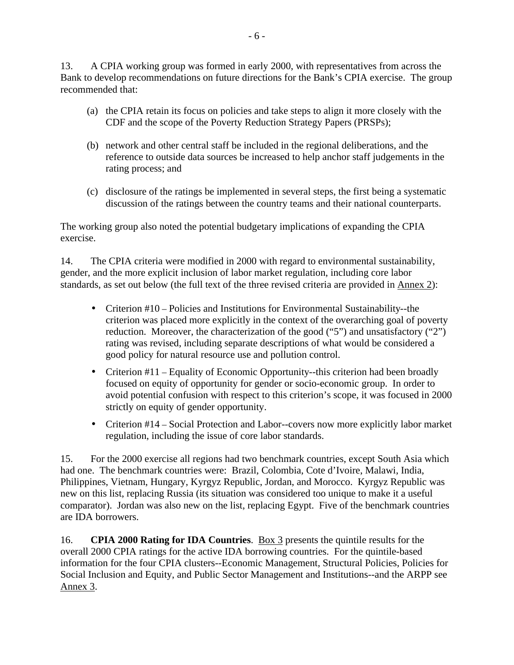13. A CPIA working group was formed in early 2000, with representatives from across the Bank to develop recommendations on future directions for the Bank's CPIA exercise. The group recommended that:

- (a) the CPIA retain its focus on policies and take steps to align it more closely with the CDF and the scope of the Poverty Reduction Strategy Papers (PRSPs);
- (b) network and other central staff be included in the regional deliberations, and the reference to outside data sources be increased to help anchor staff judgements in the rating process; and
- (c) disclosure of the ratings be implemented in several steps, the first being a systematic discussion of the ratings between the country teams and their national counterparts.

The working group also noted the potential budgetary implications of expanding the CPIA exercise.

14. The CPIA criteria were modified in 2000 with regard to environmental sustainability, gender, and the more explicit inclusion of labor market regulation, including core labor standards, as set out below (the full text of the three revised criteria are provided in Annex 2):

- Criterion #10 Policies and Institutions for Environmental Sustainability--the criterion was placed more explicitly in the context of the overarching goal of poverty reduction. Moreover, the characterization of the good ("5") and unsatisfactory ("2") rating was revised, including separate descriptions of what would be considered a good policy for natural resource use and pollution control.
- Criterion  $#11$  Equality of Economic Opportunity--this criterion had been broadly focused on equity of opportunity for gender or socio-economic group. In order to avoid potential confusion with respect to this criterion's scope, it was focused in 2000 strictly on equity of gender opportunity.
- Criterion #14 Social Protection and Labor--covers now more explicitly labor market regulation, including the issue of core labor standards.

15. For the 2000 exercise all regions had two benchmark countries, except South Asia which had one. The benchmark countries were: Brazil, Colombia, Cote d'Ivoire, Malawi, India, Philippines, Vietnam, Hungary, Kyrgyz Republic, Jordan, and Morocco. Kyrgyz Republic was new on this list, replacing Russia (its situation was considered too unique to make it a useful comparator). Jordan was also new on the list, replacing Egypt. Five of the benchmark countries are IDA borrowers.

16. **CPIA 2000 Rating for IDA Countries**. Box 3 presents the quintile results for the overall 2000 CPIA ratings for the active IDA borrowing countries. For the quintile-based information for the four CPIA clusters--Economic Management, Structural Policies, Policies for Social Inclusion and Equity, and Public Sector Management and Institutions--and the ARPP see Annex 3.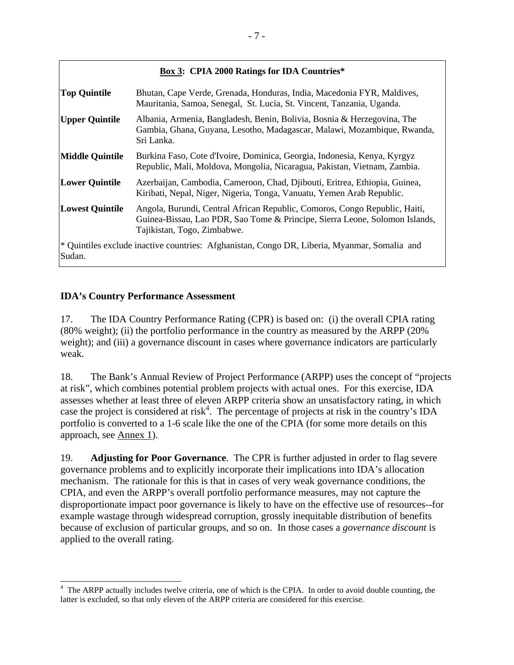## **Box 3: CPIA 2000 Ratings for IDA Countries\***

| <b>Top Quintile</b>                                                                                    | Bhutan, Cape Verde, Grenada, Honduras, India, Macedonia FYR, Maldives,<br>Mauritania, Samoa, Senegal, St. Lucia, St. Vincent, Tanzania, Uganda.                                          |
|--------------------------------------------------------------------------------------------------------|------------------------------------------------------------------------------------------------------------------------------------------------------------------------------------------|
| <b>Upper Quintile</b>                                                                                  | Albania, Armenia, Bangladesh, Benin, Bolivia, Bosnia & Herzegovina, The<br>Gambia, Ghana, Guyana, Lesotho, Madagascar, Malawi, Mozambique, Rwanda,<br>Sri Lanka.                         |
| <b>Middle Quintile</b>                                                                                 | Burkina Faso, Cote d'Ivoire, Dominica, Georgia, Indonesia, Kenya, Kyrgyz<br>Republic, Mali, Moldova, Mongolia, Nicaragua, Pakistan, Vietnam, Zambia.                                     |
| <b>Lower Quintile</b>                                                                                  | Azerbaijan, Cambodia, Cameroon, Chad, Djibouti, Eritrea, Ethiopia, Guinea,<br>Kiribati, Nepal, Niger, Nigeria, Tonga, Vanuatu, Yemen Arab Republic.                                      |
| <b>Lowest Quintile</b>                                                                                 | Angola, Burundi, Central African Republic, Comoros, Congo Republic, Haiti,<br>Guinea-Bissau, Lao PDR, Sao Tome & Principe, Sierra Leone, Solomon Islands,<br>Tajikistan, Togo, Zimbabwe. |
| * Quintiles exclude inactive countries: Afghanistan, Congo DR, Liberia, Myanmar, Somalia and<br>Sudan. |                                                                                                                                                                                          |

# **IDA's Country Performance Assessment**

17. The IDA Country Performance Rating (CPR) is based on: (i) the overall CPIA rating (80% weight); (ii) the portfolio performance in the country as measured by the ARPP (20% weight); and (iii) a governance discount in cases where governance indicators are particularly weak.

18. The Bank's Annual Review of Project Performance (ARPP) uses the concept of "projects at risk", which combines potential problem projects with actual ones. For this exercise, IDA assesses whether at least three of eleven ARPP criteria show an unsatisfactory rating, in which case the project is considered at risk<sup>4</sup>. The percentage of projects at risk in the country's IDA portfolio is converted to a 1-6 scale like the one of the CPIA (for some more details on this approach, see Annex 1).

19. **Adjusting for Poor Governance**. The CPR is further adjusted in order to flag severe governance problems and to explicitly incorporate their implications into IDA's allocation mechanism. The rationale for this is that in cases of very weak governance conditions, the CPIA, and even the ARPP's overall portfolio performance measures, may not capture the disproportionate impact poor governance is likely to have on the effective use of resources--for example wastage through widespread corruption, grossly inequitable distribution of benefits because of exclusion of particular groups, and so on. In those cases a *governance discount* is applied to the overall rating.

<sup>&</sup>lt;sup>4</sup> The ARPP actually includes twelve criteria, one of which is the CPIA. In order to avoid double counting, the latter is excluded, so that only eleven of the ARPP criteria are considered for this exercise.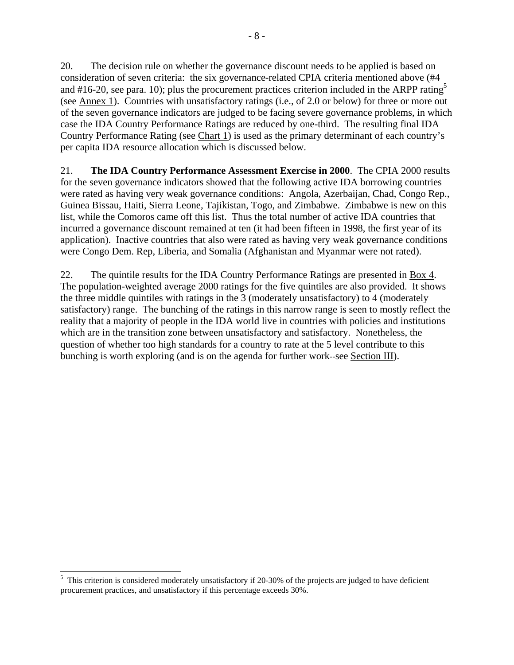20. The decision rule on whether the governance discount needs to be applied is based on consideration of seven criteria: the six governance-related CPIA criteria mentioned above (#4 and #16-20, see para. 10); plus the procurement practices criterion included in the ARPP rating<sup>5</sup> (see Annex 1). Countries with unsatisfactory ratings (i.e., of 2.0 or below) for three or more out of the seven governance indicators are judged to be facing severe governance problems, in which case the IDA Country Performance Ratings are reduced by one-third. The resulting final IDA Country Performance Rating (see Chart 1) is used as the primary determinant of each country's per capita IDA resource allocation which is discussed below.

21. **The IDA Country Performance Assessment Exercise in 2000**. The CPIA 2000 results for the seven governance indicators showed that the following active IDA borrowing countries were rated as having very weak governance conditions: Angola, Azerbaijan, Chad, Congo Rep., Guinea Bissau, Haiti, Sierra Leone, Tajikistan, Togo, and Zimbabwe. Zimbabwe is new on this list, while the Comoros came off this list. Thus the total number of active IDA countries that incurred a governance discount remained at ten (it had been fifteen in 1998, the first year of its application). Inactive countries that also were rated as having very weak governance conditions were Congo Dem. Rep, Liberia, and Somalia (Afghanistan and Myanmar were not rated).

22. The quintile results for the IDA Country Performance Ratings are presented in Box 4. The population-weighted average 2000 ratings for the five quintiles are also provided. It shows the three middle quintiles with ratings in the 3 (moderately unsatisfactory) to 4 (moderately satisfactory) range. The bunching of the ratings in this narrow range is seen to mostly reflect the reality that a majority of people in the IDA world live in countries with policies and institutions which are in the transition zone between unsatisfactory and satisfactory. Nonetheless, the question of whether too high standards for a country to rate at the 5 level contribute to this bunching is worth exploring (and is on the agenda for further work--see Section III).

 $\overline{a}$  $<sup>5</sup>$  This criterion is considered moderately unsatisfactory if 20-30% of the projects are judged to have deficient</sup> procurement practices, and unsatisfactory if this percentage exceeds 30%.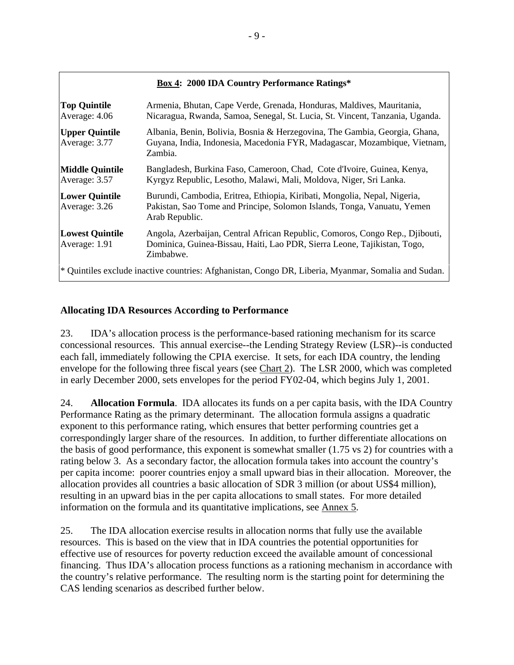# **Box 4: 2000 IDA Country Performance Ratings\***

| <b>Top Quintile</b><br>Average: 4.06    | Armenia, Bhutan, Cape Verde, Grenada, Honduras, Maldives, Mauritania,<br>Nicaragua, Rwanda, Samoa, Senegal, St. Lucia, St. Vincent, Tanzania, Uganda.                  |
|-----------------------------------------|------------------------------------------------------------------------------------------------------------------------------------------------------------------------|
| <b>Upper Quintile</b><br>Average: 3.77  | Albania, Benin, Bolivia, Bosnia & Herzegovina, The Gambia, Georgia, Ghana,<br>Guyana, India, Indonesia, Macedonia FYR, Madagascar, Mozambique, Vietnam,<br>Zambia.     |
| <b>Middle Quintile</b><br>Average: 3.57 | Bangladesh, Burkina Faso, Cameroon, Chad, Cote d'Ivoire, Guinea, Kenya,<br>Kyrgyz Republic, Lesotho, Malawi, Mali, Moldova, Niger, Sri Lanka.                          |
| <b>Lower Quintile</b><br>Average: 3.26  | Burundi, Cambodia, Eritrea, Ethiopia, Kiribati, Mongolia, Nepal, Nigeria,<br>Pakistan, Sao Tome and Principe, Solomon Islands, Tonga, Vanuatu, Yemen<br>Arab Republic. |
| <b>Lowest Quintile</b><br>Average: 1.91 | Angola, Azerbaijan, Central African Republic, Comoros, Congo Rep., Djibouti,<br>Dominica, Guinea-Bissau, Haiti, Lao PDR, Sierra Leone, Tajikistan, Togo,<br>Zimbabwe.  |
|                                         | * Quintiles exclude inactive countries: Afghanistan, Congo DR, Liberia, Myanmar, Somalia and Sudan.                                                                    |

# **Allocating IDA Resources According to Performance**

23. IDA's allocation process is the performance-based rationing mechanism for its scarce concessional resources. This annual exercise--the Lending Strategy Review (LSR)--is conducted each fall, immediately following the CPIA exercise. It sets, for each IDA country, the lending envelope for the following three fiscal years (see Chart 2). The LSR 2000, which was completed in early December 2000, sets envelopes for the period FY02-04, which begins July 1, 2001.

24. **Allocation Formula**. IDA allocates its funds on a per capita basis, with the IDA Country Performance Rating as the primary determinant. The allocation formula assigns a quadratic exponent to this performance rating, which ensures that better performing countries get a correspondingly larger share of the resources. In addition, to further differentiate allocations on the basis of good performance, this exponent is somewhat smaller (1.75 vs 2) for countries with a rating below 3. As a secondary factor, the allocation formula takes into account the country's per capita income: poorer countries enjoy a small upward bias in their allocation. Moreover, the allocation provides all countries a basic allocation of SDR 3 million (or about US\$4 million), resulting in an upward bias in the per capita allocations to small states. For more detailed information on the formula and its quantitative implications, see Annex 5.

25. The IDA allocation exercise results in allocation norms that fully use the available resources. This is based on the view that in IDA countries the potential opportunities for effective use of resources for poverty reduction exceed the available amount of concessional financing. Thus IDA's allocation process functions as a rationing mechanism in accordance with the country's relative performance. The resulting norm is the starting point for determining the CAS lending scenarios as described further below.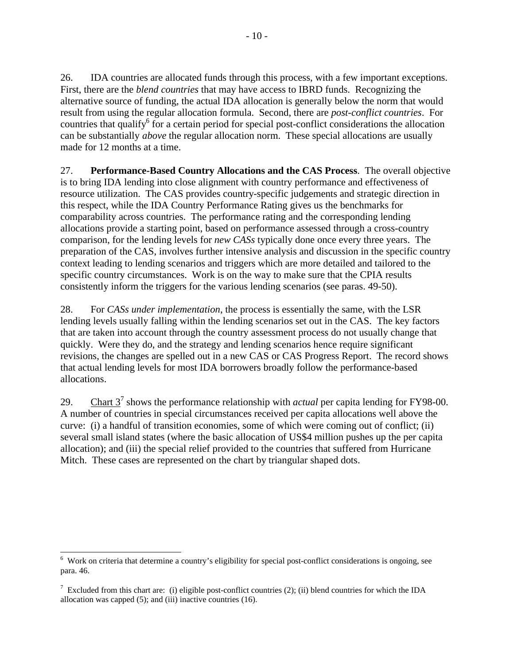26. IDA countries are allocated funds through this process, with a few important exceptions. First, there are the *blend countries* that may have access to IBRD funds. Recognizing the alternative source of funding, the actual IDA allocation is generally below the norm that would result from using the regular allocation formula. Second, there are *post-conflict countries*. For countries that qualify<sup>6</sup> for a certain period for special post-conflict considerations the allocation can be substantially *above* the regular allocation norm. These special allocations are usually made for 12 months at a time.

27. **Performance-Based Country Allocations and the CAS Process**.The overall objective is to bring IDA lending into close alignment with country performance and effectiveness of resource utilization. The CAS provides country-specific judgements and strategic direction in this respect, while the IDA Country Performance Rating gives us the benchmarks for comparability across countries. The performance rating and the corresponding lending allocations provide a starting point, based on performance assessed through a cross-country comparison, for the lending levels for *new CASs* typically done once every three years. The preparation of the CAS, involves further intensive analysis and discussion in the specific country context leading to lending scenarios and triggers which are more detailed and tailored to the specific country circumstances. Work is on the way to make sure that the CPIA results consistently inform the triggers for the various lending scenarios (see paras. 49-50).

28. For *CASs under implementation*, the process is essentially the same, with the LSR lending levels usually falling within the lending scenarios set out in the CAS. The key factors that are taken into account through the country assessment process do not usually change that quickly. Were they do, and the strategy and lending scenarios hence require significant revisions, the changes are spelled out in a new CAS or CAS Progress Report. The record shows that actual lending levels for most IDA borrowers broadly follow the performance-based allocations.

29. Chart  $3^7$  shows the performance relationship with *actual* per capita lending for FY98-00. A number of countries in special circumstances received per capita allocations well above the curve: (i) a handful of transition economies, some of which were coming out of conflict; (ii) several small island states (where the basic allocation of US\$4 million pushes up the per capita allocation); and (iii) the special relief provided to the countries that suffered from Hurricane Mitch. These cases are represented on the chart by triangular shaped dots.

 $\overline{a}$ 

<sup>&</sup>lt;sup>6</sup> Work on criteria that determine a country's eligibility for special post-conflict considerations is ongoing, see para. 46.

<sup>&</sup>lt;sup>7</sup> Excluded from this chart are: (i) eligible post-conflict countries (2); (ii) blend countries for which the IDA allocation was capped (5); and (iii) inactive countries (16).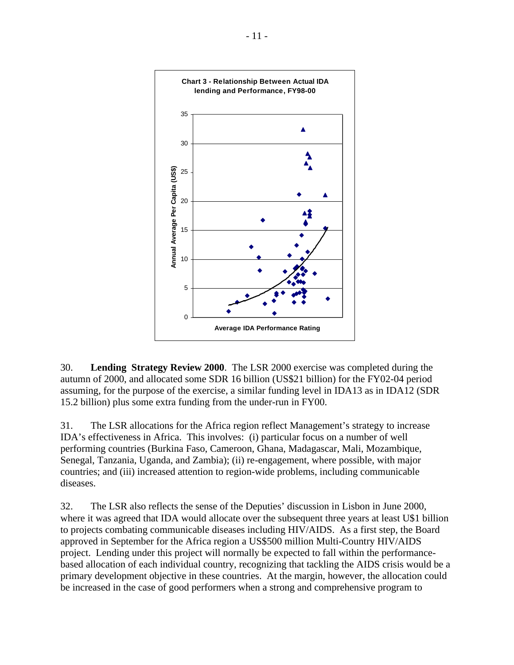

30. **Lending Strategy Review 2000**. The LSR 2000 exercise was completed during the autumn of 2000, and allocated some SDR 16 billion (US\$21 billion) for the FY02-04 period assuming, for the purpose of the exercise, a similar funding level in IDA13 as in IDA12 (SDR 15.2 billion) plus some extra funding from the under-run in FY00.

31. The LSR allocations for the Africa region reflect Management's strategy to increase IDA's effectiveness in Africa. This involves: (i) particular focus on a number of well performing countries (Burkina Faso, Cameroon, Ghana, Madagascar, Mali, Mozambique, Senegal, Tanzania, Uganda, and Zambia); (ii) re-engagement, where possible, with major countries; and (iii) increased attention to region-wide problems, including communicable diseases.

32. The LSR also reflects the sense of the Deputies' discussion in Lisbon in June 2000, where it was agreed that IDA would allocate over the subsequent three years at least U\$1 billion to projects combating communicable diseases including HIV/AIDS. As a first step, the Board approved in September for the Africa region a US\$500 million Multi-Country HIV/AIDS project. Lending under this project will normally be expected to fall within the performancebased allocation of each individual country, recognizing that tackling the AIDS crisis would be a primary development objective in these countries. At the margin, however, the allocation could be increased in the case of good performers when a strong and comprehensive program to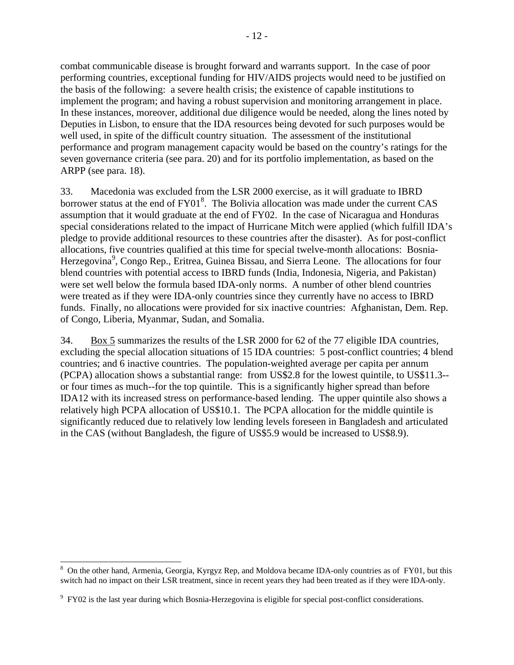combat communicable disease is brought forward and warrants support. In the case of poor performing countries, exceptional funding for HIV/AIDS projects would need to be justified on the basis of the following: a severe health crisis; the existence of capable institutions to implement the program; and having a robust supervision and monitoring arrangement in place. In these instances, moreover, additional due diligence would be needed, along the lines noted by Deputies in Lisbon, to ensure that the IDA resources being devoted for such purposes would be well used, in spite of the difficult country situation. The assessment of the institutional performance and program management capacity would be based on the country's ratings for the seven governance criteria (see para. 20) and for its portfolio implementation, as based on the ARPP (see para. 18).

33. Macedonia was excluded from the LSR 2000 exercise, as it will graduate to IBRD borrower status at the end of FY01<sup>8</sup>. The Bolivia allocation was made under the current CAS assumption that it would graduate at the end of FY02. In the case of Nicaragua and Honduras special considerations related to the impact of Hurricane Mitch were applied (which fulfill IDA's pledge to provide additional resources to these countries after the disaster). As for post-conflict allocations, five countries qualified at this time for special twelve-month allocations: Bosnia-Herzegovina<sup>9</sup>, Congo Rep., Eritrea, Guinea Bissau, and Sierra Leone. The allocations for four blend countries with potential access to IBRD funds (India, Indonesia, Nigeria, and Pakistan) were set well below the formula based IDA-only norms. A number of other blend countries were treated as if they were IDA-only countries since they currently have no access to IBRD funds. Finally, no allocations were provided for six inactive countries: Afghanistan, Dem. Rep. of Congo, Liberia, Myanmar, Sudan, and Somalia.

34. Box 5 summarizes the results of the LSR 2000 for 62 of the 77 eligible IDA countries, excluding the special allocation situations of 15 IDA countries: 5 post-conflict countries; 4 blend countries; and 6 inactive countries. The population-weighted average per capita per annum (PCPA) allocation shows a substantial range: from US\$2.8 for the lowest quintile, to US\$11.3- or four times as much--for the top quintile. This is a significantly higher spread than before IDA12 with its increased stress on performance-based lending. The upper quintile also shows a relatively high PCPA allocation of US\$10.1. The PCPA allocation for the middle quintile is significantly reduced due to relatively low lending levels foreseen in Bangladesh and articulated in the CAS (without Bangladesh, the figure of US\$5.9 would be increased to US\$8.9).

 $\overline{a}$ 

<sup>&</sup>lt;sup>8</sup> On the other hand, Armenia, Georgia, Kyrgyz Rep, and Moldova became IDA-only countries as of FY01, but this switch had no impact on their LSR treatment, since in recent years they had been treated as if they were IDA-only.

<sup>&</sup>lt;sup>9</sup> FY02 is the last year during which Bosnia-Herzegovina is eligible for special post-conflict considerations.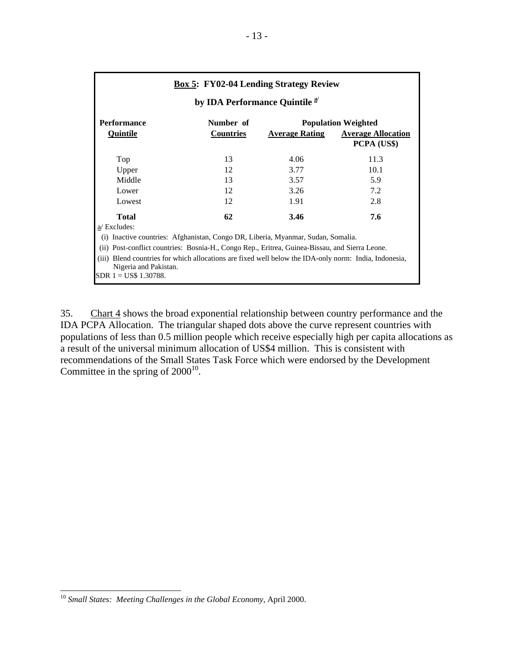|                                                                                                                                                             |                  | <b>Box 5: FY02-04 Lending Strategy Review</b> |                                          |
|-------------------------------------------------------------------------------------------------------------------------------------------------------------|------------------|-----------------------------------------------|------------------------------------------|
| by IDA Performance Quintile <sup>a/</sup>                                                                                                                   |                  |                                               |                                          |
| <b>Performance</b>                                                                                                                                          | Number of        |                                               | <b>Population Weighted</b>               |
| <b>Quintile</b>                                                                                                                                             | <b>Countries</b> | <b>Average Rating</b>                         | <b>Average Allocation</b><br>PCPA (US\$) |
| Top                                                                                                                                                         | 13               | 4.06                                          | 11.3                                     |
| Upper                                                                                                                                                       | 12               | 3.77                                          | 10.1                                     |
| Middle                                                                                                                                                      | 13               | 3.57                                          | 5.9                                      |
| Lower                                                                                                                                                       | 12               | 3.26                                          | 7.2                                      |
| Lowest                                                                                                                                                      | 12               | 1.91                                          | 2.8                                      |
| <b>Total</b><br>a/ Excludes:                                                                                                                                | 62               | 3.46                                          | 7.6                                      |
| Inactive countries: Afghanistan, Congo DR, Liberia, Myanmar, Sudan, Somalia.                                                                                |                  |                                               |                                          |
| Post-conflict countries: Bosnia-H., Congo Rep., Eritrea, Guinea-Bissau, and Sierra Leone.<br>(ii)                                                           |                  |                                               |                                          |
| Blend countries for which allocations are fixed well below the IDA-only norm: India, Indonesia,<br>(iii)<br>Nigeria and Pakistan.<br>SDR $1 = US$$ 1.30788. |                  |                                               |                                          |

35. Chart 4 shows the broad exponential relationship between country performance and the IDA PCPA Allocation. The triangular shaped dots above the curve represent countries with populations of less than 0.5 million people which receive especially high per capita allocations as a result of the universal minimum allocation of US\$4 million. This is consistent with recommendations of the Small States Task Force which were endorsed by the Development Committee in the spring of  $2000^{10}$ .

 $\overline{a}$ 

<sup>10</sup> *Small States: Meeting Challenges in the Global Economy*, April 2000.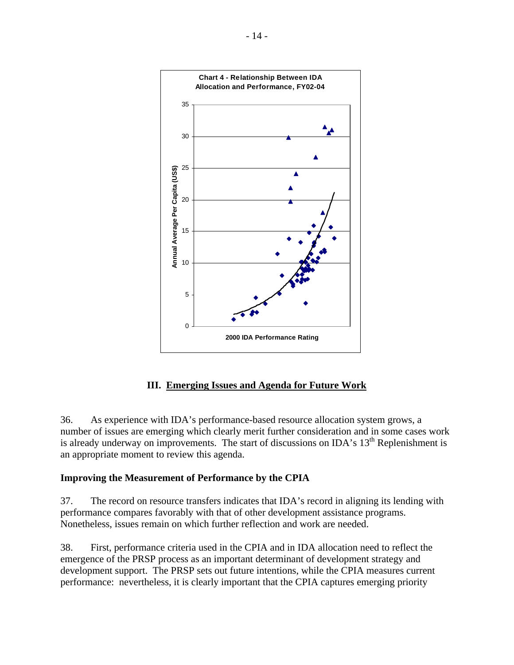

# **III. Emerging Issues and Agenda for Future Work**

36. As experience with IDA's performance-based resource allocation system grows, a number of issues are emerging which clearly merit further consideration and in some cases work is already underway on improvements. The start of discussions on IDA's  $13<sup>th</sup>$  Replenishment is an appropriate moment to review this agenda.

# **Improving the Measurement of Performance by the CPIA**

37. The record on resource transfers indicates that IDA's record in aligning its lending with performance compares favorably with that of other development assistance programs. Nonetheless, issues remain on which further reflection and work are needed.

38. First, performance criteria used in the CPIA and in IDA allocation need to reflect the emergence of the PRSP process as an important determinant of development strategy and development support. The PRSP sets out future intentions, while the CPIA measures current performance: nevertheless, it is clearly important that the CPIA captures emerging priority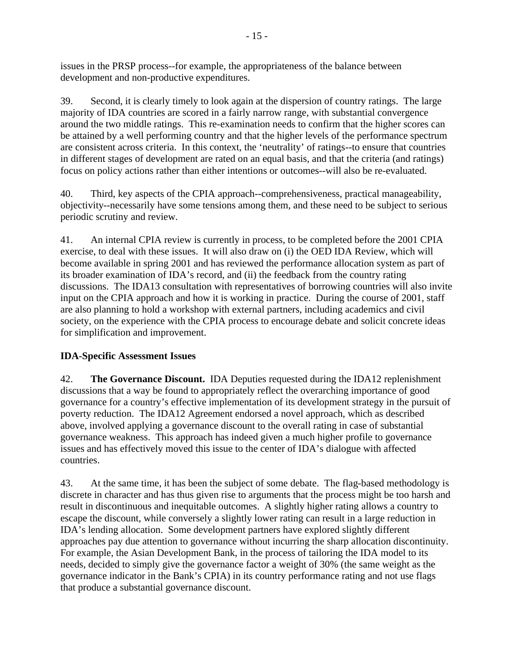issues in the PRSP process--for example, the appropriateness of the balance between development and non-productive expenditures.

39. Second, it is clearly timely to look again at the dispersion of country ratings. The large majority of IDA countries are scored in a fairly narrow range, with substantial convergence around the two middle ratings. This re-examination needs to confirm that the higher scores can be attained by a well performing country and that the higher levels of the performance spectrum are consistent across criteria. In this context, the 'neutrality' of ratings--to ensure that countries in different stages of development are rated on an equal basis, and that the criteria (and ratings) focus on policy actions rather than either intentions or outcomes--will also be re-evaluated.

40. Third, key aspects of the CPIA approach--comprehensiveness, practical manageability, objectivity--necessarily have some tensions among them, and these need to be subject to serious periodic scrutiny and review.

41. An internal CPIA review is currently in process, to be completed before the 2001 CPIA exercise, to deal with these issues. It will also draw on (i) the OED IDA Review, which will become available in spring 2001 and has reviewed the performance allocation system as part of its broader examination of IDA's record, and (ii) the feedback from the country rating discussions. The IDA13 consultation with representatives of borrowing countries will also invite input on the CPIA approach and how it is working in practice. During the course of 2001, staff are also planning to hold a workshop with external partners, including academics and civil society, on the experience with the CPIA process to encourage debate and solicit concrete ideas for simplification and improvement.

# **IDA-Specific Assessment Issues**

42. **The Governance Discount.** IDA Deputies requested during the IDA12 replenishment discussions that a way be found to appropriately reflect the overarching importance of good governance for a country's effective implementation of its development strategy in the pursuit of poverty reduction. The IDA12 Agreement endorsed a novel approach, which as described above, involved applying a governance discount to the overall rating in case of substantial governance weakness. This approach has indeed given a much higher profile to governance issues and has effectively moved this issue to the center of IDA's dialogue with affected countries.

43. At the same time, it has been the subject of some debate. The flag-based methodology is discrete in character and has thus given rise to arguments that the process might be too harsh and result in discontinuous and inequitable outcomes. A slightly higher rating allows a country to escape the discount, while conversely a slightly lower rating can result in a large reduction in IDA's lending allocation. Some development partners have explored slightly different approaches pay due attention to governance without incurring the sharp allocation discontinuity. For example, the Asian Development Bank, in the process of tailoring the IDA model to its needs, decided to simply give the governance factor a weight of 30% (the same weight as the governance indicator in the Bank's CPIA) in its country performance rating and not use flags that produce a substantial governance discount.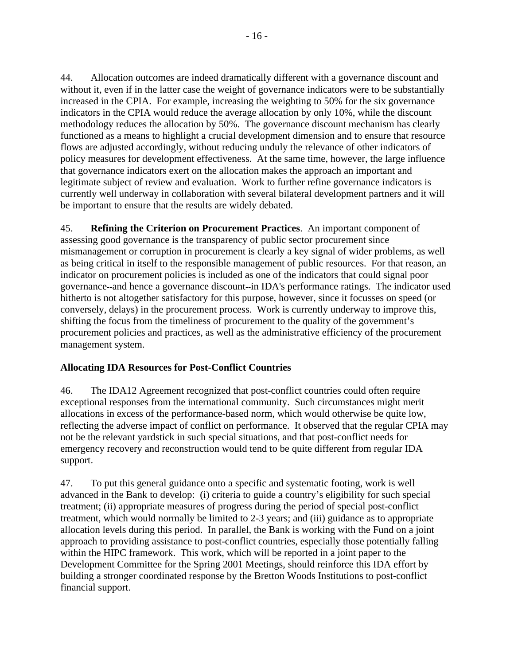44. Allocation outcomes are indeed dramatically different with a governance discount and without it, even if in the latter case the weight of governance indicators were to be substantially increased in the CPIA. For example, increasing the weighting to 50% for the six governance indicators in the CPIA would reduce the average allocation by only 10%, while the discount methodology reduces the allocation by 50%. The governance discount mechanism has clearly functioned as a means to highlight a crucial development dimension and to ensure that resource flows are adjusted accordingly, without reducing unduly the relevance of other indicators of policy measures for development effectiveness. At the same time, however, the large influence that governance indicators exert on the allocation makes the approach an important and legitimate subject of review and evaluation. Work to further refine governance indicators is currently well underway in collaboration with several bilateral development partners and it will be important to ensure that the results are widely debated.

45. **Refining the Criterion on Procurement Practices**. An important component of assessing good governance is the transparency of public sector procurement since mismanagement or corruption in procurement is clearly a key signal of wider problems, as well as being critical in itself to the responsible management of public resources. For that reason, an indicator on procurement policies is included as one of the indicators that could signal poor governance--and hence a governance discount--in IDA's performance ratings. The indicator used hitherto is not altogether satisfactory for this purpose, however, since it focusses on speed (or conversely, delays) in the procurement process. Work is currently underway to improve this, shifting the focus from the timeliness of procurement to the quality of the government's procurement policies and practices, as well as the administrative efficiency of the procurement management system.

# **Allocating IDA Resources for Post-Conflict Countries**

46. The IDA12 Agreement recognized that post-conflict countries could often require exceptional responses from the international community. Such circumstances might merit allocations in excess of the performance-based norm, which would otherwise be quite low, reflecting the adverse impact of conflict on performance. It observed that the regular CPIA may not be the relevant yardstick in such special situations, and that post-conflict needs for emergency recovery and reconstruction would tend to be quite different from regular IDA support.

47. To put this general guidance onto a specific and systematic footing, work is well advanced in the Bank to develop: (i) criteria to guide a country's eligibility for such special treatment; (ii) appropriate measures of progress during the period of special post-conflict treatment, which would normally be limited to 2-3 years; and (iii) guidance as to appropriate allocation levels during this period. In parallel, the Bank is working with the Fund on a joint approach to providing assistance to post-conflict countries, especially those potentially falling within the HIPC framework. This work, which will be reported in a joint paper to the Development Committee for the Spring 2001 Meetings, should reinforce this IDA effort by building a stronger coordinated response by the Bretton Woods Institutions to post-conflict financial support.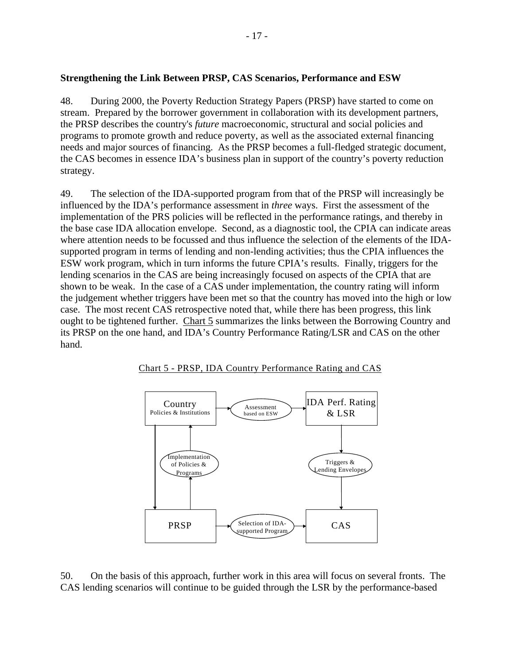#### **Strengthening the Link Between PRSP, CAS Scenarios, Performance and ESW**

48. During 2000, the Poverty Reduction Strategy Papers (PRSP) have started to come on stream. Prepared by the borrower government in collaboration with its development partners, the PRSP describes the country's *future* macroeconomic, structural and social policies and programs to promote growth and reduce poverty, as well as the associated external financing needs and major sources of financing. As the PRSP becomes a full-fledged strategic document, the CAS becomes in essence IDA's business plan in support of the country's poverty reduction strategy.

49. The selection of the IDA-supported program from that of the PRSP will increasingly be influenced by the IDA's performance assessment in *three* ways. First the assessment of the implementation of the PRS policies will be reflected in the performance ratings, and thereby in the base case IDA allocation envelope. Second, as a diagnostic tool, the CPIA can indicate areas where attention needs to be focussed and thus influence the selection of the elements of the IDAsupported program in terms of lending and non-lending activities; thus the CPIA influences the ESW work program, which in turn informs the future CPIA's results.Finally, triggers for the lending scenarios in the CAS are being increasingly focused on aspects of the CPIA that are shown to be weak. In the case of a CAS under implementation, the country rating will inform the judgement whether triggers have been met so that the country has moved into the high or low case. The most recent CAS retrospective noted that, while there has been progress, this link ought to be tightened further. Chart 5 summarizes the links between the Borrowing Country and its PRSP on the one hand, and IDA's Country Performance Rating/LSR and CAS on the other hand.





50. On the basis of this approach, further work in this area will focus on several fronts. The CAS lending scenarios will continue to be guided through the LSR by the performance-based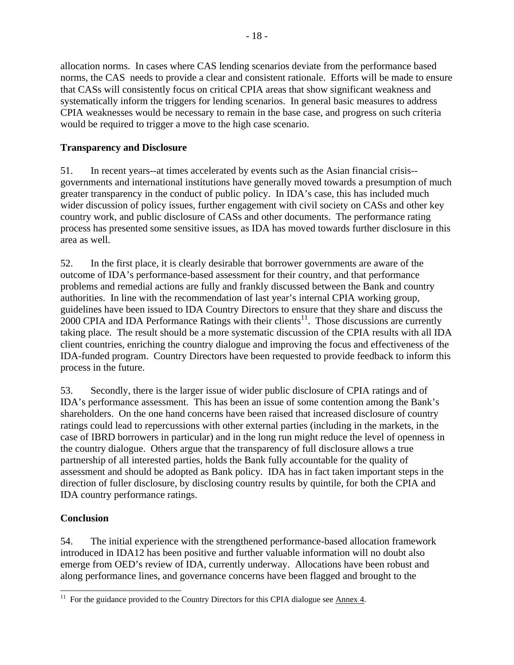allocation norms. In cases where CAS lending scenarios deviate from the performance based norms, the CAS needs to provide a clear and consistent rationale. Efforts will be made to ensure that CASs will consistently focus on critical CPIA areas that show significant weakness and systematically inform the triggers for lending scenarios. In general basic measures to address CPIA weaknesses would be necessary to remain in the base case, and progress on such criteria would be required to trigger a move to the high case scenario.

# **Transparency and Disclosure**

51. In recent years--at times accelerated by events such as the Asian financial crisis- governments and international institutions have generally moved towards a presumption of much greater transparency in the conduct of public policy. In IDA's case, this has included much wider discussion of policy issues, further engagement with civil society on CASs and other key country work, and public disclosure of CASs and other documents. The performance rating process has presented some sensitive issues, as IDA has moved towards further disclosure in this area as well.

52. In the first place, it is clearly desirable that borrower governments are aware of the outcome of IDA's performance-based assessment for their country, and that performance problems and remedial actions are fully and frankly discussed between the Bank and country authorities. In line with the recommendation of last year's internal CPIA working group, guidelines have been issued to IDA Country Directors to ensure that they share and discuss the  $2000$  CPIA and IDA Performance Ratings with their clients<sup>11</sup>. Those discussions are currently taking place. The result should be a more systematic discussion of the CPIA results with all IDA client countries, enriching the country dialogue and improving the focus and effectiveness of the IDA-funded program. Country Directors have been requested to provide feedback to inform this process in the future.

53. Secondly, there is the larger issue of wider public disclosure of CPIA ratings and of IDA's performance assessment. This has been an issue of some contention among the Bank's shareholders. On the one hand concerns have been raised that increased disclosure of country ratings could lead to repercussions with other external parties (including in the markets, in the case of IBRD borrowers in particular) and in the long run might reduce the level of openness in the country dialogue. Others argue that the transparency of full disclosure allows a true partnership of all interested parties, holds the Bank fully accountable for the quality of assessment and should be adopted as Bank policy. IDA has in fact taken important steps in the direction of fuller disclosure, by disclosing country results by quintile, for both the CPIA and IDA country performance ratings.

# **Conclusion**

 $\overline{a}$ 

54. The initial experience with the strengthened performance-based allocation framework introduced in IDA12 has been positive and further valuable information will no doubt also emerge from OED's review of IDA, currently underway. Allocations have been robust and along performance lines, and governance concerns have been flagged and brought to the

<sup>&</sup>lt;sup>11</sup> For the guidance provided to the Country Directors for this CPIA dialogue see  $\frac{\text{Annex }4.}{\text{Annex }4.}$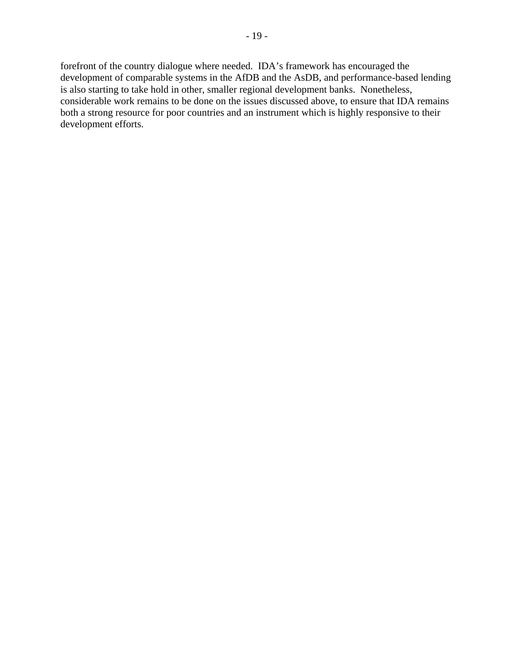forefront of the country dialogue where needed. IDA's framework has encouraged the development of comparable systems in the AfDB and the AsDB, and performance-based lending is also starting to take hold in other, smaller regional development banks. Nonetheless, considerable work remains to be done on the issues discussed above, to ensure that IDA remains both a strong resource for poor countries and an instrument which is highly responsive to their development efforts.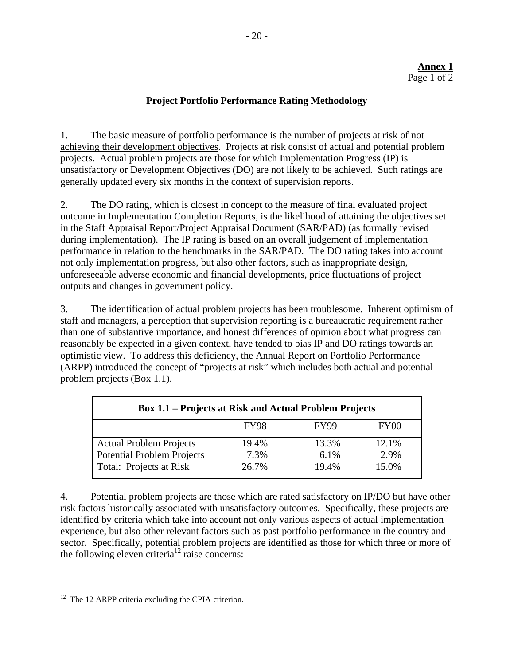## **Project Portfolio Performance Rating Methodology**

1. The basic measure of portfolio performance is the number of projects at risk of not achieving their development objectives. Projects at risk consist of actual and potential problem projects. Actual problem projects are those for which Implementation Progress (IP) is unsatisfactory or Development Objectives (DO) are not likely to be achieved. Such ratings are generally updated every six months in the context of supervision reports.

2. The DO rating, which is closest in concept to the measure of final evaluated project outcome in Implementation Completion Reports, is the likelihood of attaining the objectives set in the Staff Appraisal Report/Project Appraisal Document (SAR/PAD) (as formally revised during implementation). The IP rating is based on an overall judgement of implementation performance in relation to the benchmarks in the SAR/PAD. The DO rating takes into account not only implementation progress, but also other factors, such as inappropriate design, unforeseeable adverse economic and financial developments, price fluctuations of project outputs and changes in government policy.

3. The identification of actual problem projects has been troublesome. Inherent optimism of staff and managers, a perception that supervision reporting is a bureaucratic requirement rather than one of substantive importance, and honest differences of opinion about what progress can reasonably be expected in a given context, have tended to bias IP and DO ratings towards an optimistic view. To address this deficiency, the Annual Report on Portfolio Performance (ARPP) introduced the concept of "projects at risk" which includes both actual and potential problem projects (Box 1.1).

| <b>Box 1.1 – Projects at Risk and Actual Problem Projects</b> |             |             |                  |
|---------------------------------------------------------------|-------------|-------------|------------------|
|                                                               | <b>FY98</b> | <b>FY99</b> | FY <sub>00</sub> |
| <b>Actual Problem Projects</b>                                | 19.4%       | 13.3%       | 12.1%            |
| <b>Potential Problem Projects</b>                             | 7.3%        | 6.1%        | 2.9%             |
| Total: Projects at Risk                                       | 26.7%       | 19.4%       | 15.0%            |

4. Potential problem projects are those which are rated satisfactory on IP/DO but have other risk factors historically associated with unsatisfactory outcomes. Specifically, these projects are identified by criteria which take into account not only various aspects of actual implementation experience, but also other relevant factors such as past portfolio performance in the country and sector. Specifically, potential problem projects are identified as those for which three or more of the following eleven criteria<sup>12</sup> raise concerns:

 $\overline{a}$ 

<sup>&</sup>lt;sup>12</sup> The 12 ARPP criteria excluding the CPIA criterion.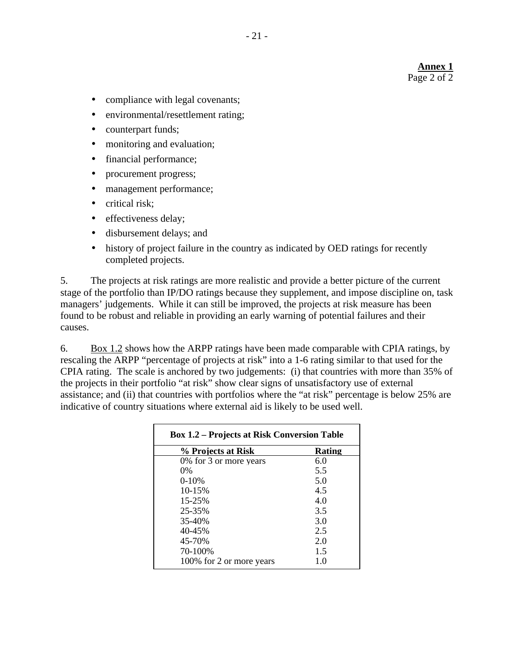#### **Annex 1** Page 2 of 2

- compliance with legal covenants;
- environmental/resettlement rating;
- counterpart funds;
- monitoring and evaluation;
- financial performance;
- procurement progress;
- management performance;
- critical risk;
- effectiveness delay;
- disbursement delays; and
- history of project failure in the country as indicated by OED ratings for recently completed projects.

5. The projects at risk ratings are more realistic and provide a better picture of the current stage of the portfolio than IP/DO ratings because they supplement, and impose discipline on, task managers' judgements. While it can still be improved, the projects at risk measure has been found to be robust and reliable in providing an early warning of potential failures and their causes.

6. Box 1.2 shows how the ARPP ratings have been made comparable with CPIA ratings, by rescaling the ARPP "percentage of projects at risk" into a 1-6 rating similar to that used for the CPIA rating. The scale is anchored by two judgements: (i) that countries with more than 35% of the projects in their portfolio "at risk" show clear signs of unsatisfactory use of external assistance; and (ii) that countries with portfolios where the "at risk" percentage is below 25% are indicative of country situations where external aid is likely to be used well.

| <b>Box 1.2 – Projects at Risk Conversion Table</b> |        |  |
|----------------------------------------------------|--------|--|
| % Projects at Risk                                 | Rating |  |
| 0% for 3 or more years                             | 6.0    |  |
| $0\%$                                              | 5.5    |  |
| $0-10%$                                            | 5.0    |  |
| 10-15%                                             | 4.5    |  |
| 15-25%                                             | 4.0    |  |
| 25-35%                                             | 3.5    |  |
| 35-40%                                             | 3.0    |  |
| 40-45%                                             | 2.5    |  |
| 45-70%                                             | 2.0    |  |
| 70-100%                                            | 1.5    |  |
| 100% for 2 or more years                           | 1.0    |  |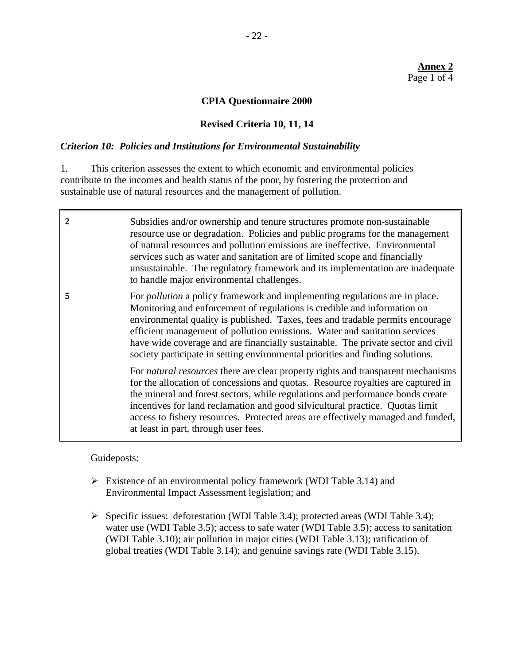#### **CPIA Questionnaire 2000**

#### **Revised Criteria 10, 11, 14**

#### *Criterion 10: Policies and Institutions for Environmental Sustainability*

1. This criterion assesses the extent to which economic and environmental policies contribute to the incomes and health status of the poor, by fostering the protection and sustainable use of natural resources and the management of pollution.

| 2 | Subsidies and/or ownership and tenure structures promote non-sustainable<br>resource use or degradation. Policies and public programs for the management<br>of natural resources and pollution emissions are ineffective. Environmental<br>services such as water and sanitation are of limited scope and financially<br>unsustainable. The regulatory framework and its implementation are inadequate<br>to handle major environmental challenges.                                                  |
|---|------------------------------------------------------------------------------------------------------------------------------------------------------------------------------------------------------------------------------------------------------------------------------------------------------------------------------------------------------------------------------------------------------------------------------------------------------------------------------------------------------|
| 5 | For <i>pollution</i> a policy framework and implementing regulations are in place.<br>Monitoring and enforcement of regulations is credible and information on<br>environmental quality is published. Taxes, fees and tradable permits encourage<br>efficient management of pollution emissions. Water and sanitation services<br>have wide coverage and are financially sustainable. The private sector and civil<br>society participate in setting environmental priorities and finding solutions. |
|   | For natural resources there are clear property rights and transparent mechanisms<br>for the allocation of concessions and quotas. Resource royalties are captured in<br>the mineral and forest sectors, while regulations and performance bonds create<br>incentives for land reclamation and good silvicultural practice. Quotas limit<br>access to fishery resources. Protected areas are effectively managed and funded,<br>at least in part, through user fees.                                  |

Guideposts:

- $\triangleright$  Existence of an environmental policy framework (WDI Table 3.14) and Environmental Impact Assessment legislation; and
- $\triangleright$  Specific issues: deforestation (WDI Table 3.4); protected areas (WDI Table 3.4); water use (WDI Table 3.5); access to safe water (WDI Table 3.5); access to sanitation (WDI Table 3.10); air pollution in major cities (WDI Table 3.13); ratification of global treaties (WDI Table 3.14); and genuine savings rate (WDI Table 3.15).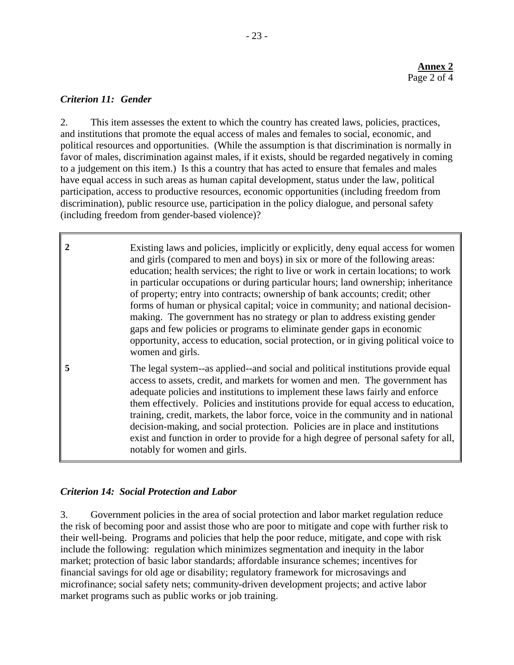## *Criterion 11: Gender*

2. This item assesses the extent to which the country has created laws, policies, practices, and institutions that promote the equal access of males and females to social, economic, and political resources and opportunities. (While the assumption is that discrimination is normally in favor of males, discrimination against males, if it exists, should be regarded negatively in coming to a judgement on this item.) Is this a country that has acted to ensure that females and males have equal access in such areas as human capital development, status under the law, political participation, access to productive resources, economic opportunities (including freedom from discrimination), public resource use, participation in the policy dialogue, and personal safety (including freedom from gender-based violence)?

**2** Existing laws and policies, implicitly or explicitly, deny equal access for women and girls (compared to men and boys) in six or more of the following areas: education; health services; the right to live or work in certain locations; to work in particular occupations or during particular hours; land ownership; inheritance of property; entry into contracts; ownership of bank accounts; credit; other forms of human or physical capital; voice in community; and national decisionmaking. The government has no strategy or plan to address existing gender gaps and few policies or programs to eliminate gender gaps in economic opportunity, access to education, social protection, or in giving political voice to women and girls.

**5** The legal system--as applied--and social and political institutions provide equal access to assets, credit, and markets for women and men. The government has adequate policies and institutions to implement these laws fairly and enforce them effectively. Policies and institutions provide for equal access to education, training, credit, markets, the labor force, voice in the community and in national decision-making, and social protection. Policies are in place and institutions exist and function in order to provide for a high degree of personal safety for all, notably for women and girls.

# *Criterion 14: Social Protection and Labor*

3. Government policies in the area of social protection and labor market regulation reduce the risk of becoming poor and assist those who are poor to mitigate and cope with further risk to their well-being. Programs and policies that help the poor reduce, mitigate, and cope with risk include the following: regulation which minimizes segmentation and inequity in the labor market; protection of basic labor standards; affordable insurance schemes; incentives for financial savings for old age or disability; regulatory framework for microsavings and microfinance; social safety nets; community-driven development projects; and active labor market programs such as public works or job training.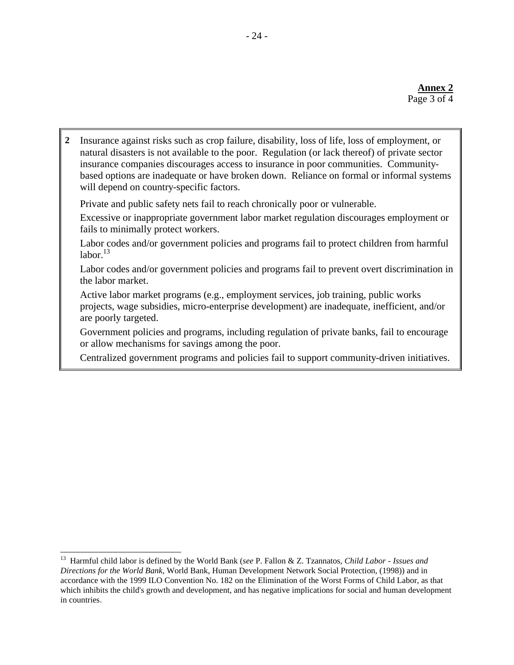**2** Insurance against risks such as crop failure, disability, loss of life, loss of employment, or natural disasters is not available to the poor. Regulation (or lack thereof) of private sector insurance companies discourages access to insurance in poor communities. Communitybased options are inadequate or have broken down. Reliance on formal or informal systems will depend on country-specific factors.

Private and public safety nets fail to reach chronically poor or vulnerable.

Excessive or inappropriate government labor market regulation discourages employment or fails to minimally protect workers.

Labor codes and/or government policies and programs fail to protect children from harmful  $labor$ <sup>13</sup>

Labor codes and/or government policies and programs fail to prevent overt discrimination in the labor market.

Active labor market programs (e.g., employment services, job training, public works projects, wage subsidies, micro-enterprise development) are inadequate, inefficient, and/or are poorly targeted.

Government policies and programs, including regulation of private banks, fail to encourage or allow mechanisms for savings among the poor.

Centralized government programs and policies fail to support community-driven initiatives.

 13 Harmful child labor is defined by the World Bank (*see* P. Fallon & Z. Tzannatos, *Child Labor - Issues and Directions for the World Bank*, World Bank, Human Development Network Social Protection, (1998)) and in accordance with the 1999 ILO Convention No. 182 on the Elimination of the Worst Forms of Child Labor, as that which inhibits the child's growth and development, and has negative implications for social and human development in countries.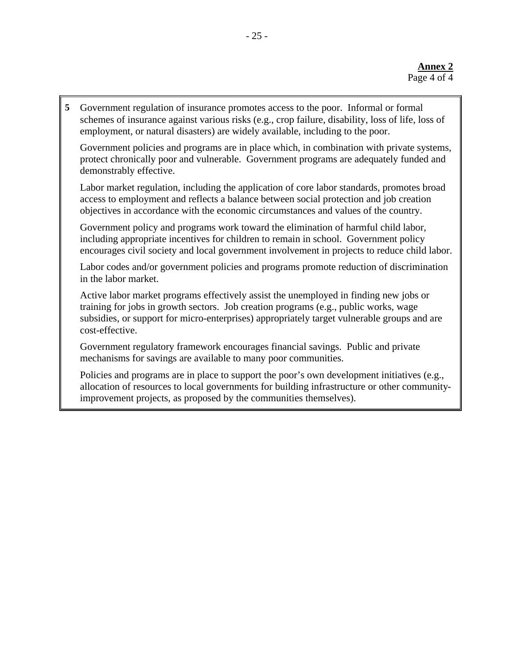**5** Government regulation of insurance promotes access to the poor. Informal or formal schemes of insurance against various risks (e.g., crop failure, disability, loss of life, loss of employment, or natural disasters) are widely available, including to the poor.

Government policies and programs are in place which, in combination with private systems, protect chronically poor and vulnerable. Government programs are adequately funded and demonstrably effective.

Labor market regulation, including the application of core labor standards, promotes broad access to employment and reflects a balance between social protection and job creation objectives in accordance with the economic circumstances and values of the country.

Government policy and programs work toward the elimination of harmful child labor, including appropriate incentives for children to remain in school. Government policy encourages civil society and local government involvement in projects to reduce child labor.

Labor codes and/or government policies and programs promote reduction of discrimination in the labor market.

Active labor market programs effectively assist the unemployed in finding new jobs or training for jobs in growth sectors. Job creation programs (e.g., public works, wage subsidies, or support for micro-enterprises) appropriately target vulnerable groups and are cost-effective.

Government regulatory framework encourages financial savings. Public and private mechanisms for savings are available to many poor communities.

Policies and programs are in place to support the poor's own development initiatives (e.g., allocation of resources to local governments for building infrastructure or other communityimprovement projects, as proposed by the communities themselves).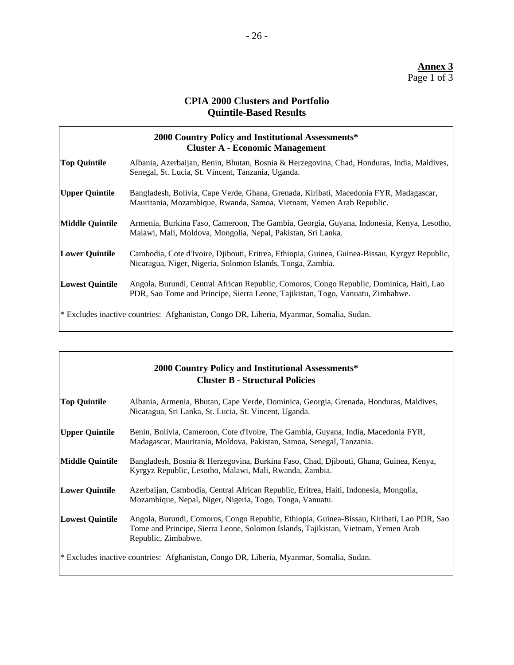# **CPIA 2000 Clusters and Portfolio Quintile-Based Results**

|                        | 2000 Country Policy and Institutional Assessments*<br><b>Cluster A - Economic Management</b>                                                                               |
|------------------------|----------------------------------------------------------------------------------------------------------------------------------------------------------------------------|
| <b>Top Quintile</b>    | Albania, Azerbaijan, Benin, Bhutan, Bosnia & Herzegovina, Chad, Honduras, India, Maldives,<br>Senegal, St. Lucia, St. Vincent, Tanzania, Uganda.                           |
| <b>Upper Quintile</b>  | Bangladesh, Bolivia, Cape Verde, Ghana, Grenada, Kiribati, Macedonia FYR, Madagascar,<br>Mauritania, Mozambique, Rwanda, Samoa, Vietnam, Yemen Arab Republic.              |
| Middle Quintile        | Armenia, Burkina Faso, Cameroon, The Gambia, Georgia, Guyana, Indonesia, Kenya, Lesotho,<br>Malawi, Mali, Moldova, Mongolia, Nepal, Pakistan, Sri Lanka.                   |
| <b>Lower Quintile</b>  | Cambodia, Cote d'Ivoire, Djibouti, Eritrea, Ethiopia, Guinea, Guinea-Bissau, Kyrgyz Republic,<br>Nicaragua, Niger, Nigeria, Solomon Islands, Tonga, Zambia.                |
| <b>Lowest Quintile</b> | Angola, Burundi, Central African Republic, Comoros, Congo Republic, Dominica, Haiti, Lao<br>PDR, Sao Tome and Principe, Sierra Leone, Tajikistan, Togo, Vanuatu, Zimbabwe. |
|                        | * Excludes inactive countries: Afghanistan, Congo DR, Liberia, Myanmar, Somalia, Sudan.                                                                                    |

|                        | 2000 Country Policy and Institutional Assessments*<br><b>Cluster B - Structural Policies</b>                                                                                                          |
|------------------------|-------------------------------------------------------------------------------------------------------------------------------------------------------------------------------------------------------|
| <b>Top Quintile</b>    | Albania, Armenia, Bhutan, Cape Verde, Dominica, Georgia, Grenada, Honduras, Maldives,<br>Nicaragua, Sri Lanka, St. Lucia, St. Vincent, Uganda.                                                        |
| <b>Upper Quintile</b>  | Benin, Bolivia, Cameroon, Cote d'Ivoire, The Gambia, Guyana, India, Macedonia FYR,<br>Madagascar, Mauritania, Moldova, Pakistan, Samoa, Senegal, Tanzania.                                            |
| <b>Middle Quintile</b> | Bangladesh, Bosnia & Herzegovina, Burkina Faso, Chad, Djibouti, Ghana, Guinea, Kenya,<br>Kyrgyz Republic, Lesotho, Malawi, Mali, Rwanda, Zambia.                                                      |
| <b>Lower Quintile</b>  | Azerbaijan, Cambodia, Central African Republic, Eritrea, Haiti, Indonesia, Mongolia,<br>Mozambique, Nepal, Niger, Nigeria, Togo, Tonga, Vanuatu.                                                      |
| <b>Lowest Quintile</b> | Angola, Burundi, Comoros, Congo Republic, Ethiopia, Guinea-Bissau, Kiribati, Lao PDR, Sao<br>Tome and Principe, Sierra Leone, Solomon Islands, Tajikistan, Vietnam, Yemen Arab<br>Republic, Zimbabwe. |
|                        | * Excludes inactive countries: Afghanistan, Congo DR, Liberia, Myanmar, Somalia, Sudan.                                                                                                               |

 $\overline{\phantom{a}}$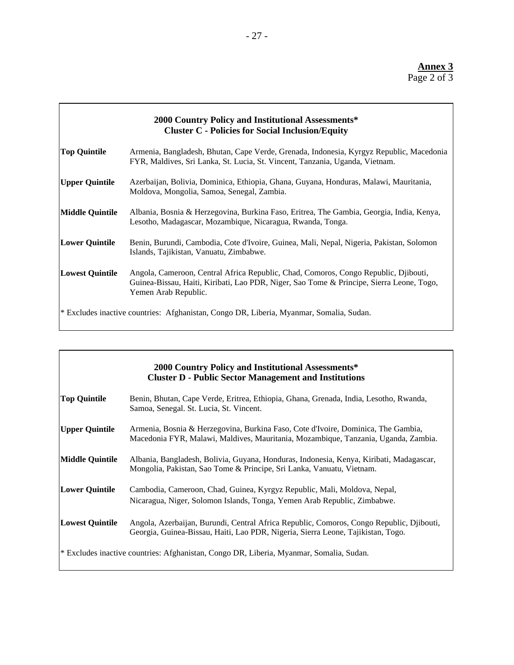| 2000 Country Policy and Institutional Assessments*<br><b>Cluster C - Policies for Social Inclusion/Equity</b> |                                                                                                                                                                                                         |  |
|---------------------------------------------------------------------------------------------------------------|---------------------------------------------------------------------------------------------------------------------------------------------------------------------------------------------------------|--|
| <b>Top Quintile</b>                                                                                           | Armenia, Bangladesh, Bhutan, Cape Verde, Grenada, Indonesia, Kyrgyz Republic, Macedonia<br>FYR, Maldives, Sri Lanka, St. Lucia, St. Vincent, Tanzania, Uganda, Vietnam.                                 |  |
| <b>Upper Quintile</b>                                                                                         | Azerbaijan, Bolivia, Dominica, Ethiopia, Ghana, Guyana, Honduras, Malawi, Mauritania,<br>Moldova, Mongolia, Samoa, Senegal, Zambia.                                                                     |  |
| <b>Middle Quintile</b>                                                                                        | Albania, Bosnia & Herzegovina, Burkina Faso, Eritrea, The Gambia, Georgia, India, Kenya,<br>Lesotho, Madagascar, Mozambique, Nicaragua, Rwanda, Tonga.                                                  |  |
| <b>Lower Quintile</b>                                                                                         | Benin, Burundi, Cambodia, Cote d'Ivoire, Guinea, Mali, Nepal, Nigeria, Pakistan, Solomon<br>Islands, Tajikistan, Vanuatu, Zimbabwe.                                                                     |  |
| <b>Lowest Quintile</b>                                                                                        | Angola, Cameroon, Central Africa Republic, Chad, Comoros, Congo Republic, Djibouti,<br>Guinea-Bissau, Haiti, Kiribati, Lao PDR, Niger, Sao Tome & Principe, Sierra Leone, Togo,<br>Yemen Arab Republic. |  |
| * Excludes inactive countries: Afghanistan, Congo DR, Liberia, Myanmar, Somalia, Sudan.                       |                                                                                                                                                                                                         |  |

| 2000 Country Policy and Institutional Assessments*<br><b>Cluster D - Public Sector Management and Institutions</b> |                                                                                                                                                                              |  |
|--------------------------------------------------------------------------------------------------------------------|------------------------------------------------------------------------------------------------------------------------------------------------------------------------------|--|
| <b>Top Quintile</b>                                                                                                | Benin, Bhutan, Cape Verde, Eritrea, Ethiopia, Ghana, Grenada, India, Lesotho, Rwanda,<br>Samoa, Senegal. St. Lucia, St. Vincent.                                             |  |
| <b>Upper Quintile</b>                                                                                              | Armenia, Bosnia & Herzegovina, Burkina Faso, Cote d'Ivoire, Dominica, The Gambia,<br>Macedonia FYR, Malawi, Maldives, Mauritania, Mozambique, Tanzania, Uganda, Zambia.      |  |
| <b>Middle Quintile</b>                                                                                             | Albania, Bangladesh, Bolivia, Guyana, Honduras, Indonesia, Kenya, Kiribati, Madagascar,<br>Mongolia, Pakistan, Sao Tome & Principe, Sri Lanka, Vanuatu, Vietnam.             |  |
| <b>Lower Quintile</b>                                                                                              | Cambodia, Cameroon, Chad, Guinea, Kyrgyz Republic, Mali, Moldova, Nepal,<br>Nicaragua, Niger, Solomon Islands, Tonga, Yemen Arab Republic, Zimbabwe.                         |  |
| <b>Lowest Quintile</b>                                                                                             | Angola, Azerbaijan, Burundi, Central Africa Republic, Comoros, Congo Republic, Djibouti,<br>Georgia, Guinea-Bissau, Haiti, Lao PDR, Nigeria, Sierra Leone, Tajikistan, Togo. |  |
| * Excludes inactive countries: Afghanistan, Congo DR, Liberia, Myanmar, Somalia, Sudan.                            |                                                                                                                                                                              |  |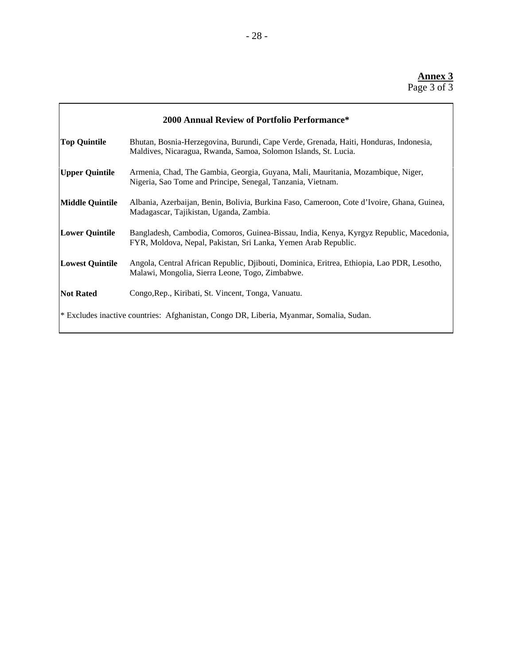| 2000 Annual Review of Portfolio Performance*                                            |                                                                                                                                                           |  |
|-----------------------------------------------------------------------------------------|-----------------------------------------------------------------------------------------------------------------------------------------------------------|--|
| <b>Top Quintile</b>                                                                     | Bhutan, Bosnia-Herzegovina, Burundi, Cape Verde, Grenada, Haiti, Honduras, Indonesia,<br>Maldives, Nicaragua, Rwanda, Samoa, Solomon Islands, St. Lucia.  |  |
| <b>Upper Quintile</b>                                                                   | Armenia, Chad, The Gambia, Georgia, Guyana, Mali, Mauritania, Mozambique, Niger,<br>Nigeria, Sao Tome and Principe, Senegal, Tanzania, Vietnam.           |  |
| <b>Middle Quintile</b>                                                                  | Albania, Azerbaijan, Benin, Bolivia, Burkina Faso, Cameroon, Cote d'Ivoire, Ghana, Guinea,<br>Madagascar, Tajikistan, Uganda, Zambia.                     |  |
| <b>Lower Quintile</b>                                                                   | Bangladesh, Cambodia, Comoros, Guinea-Bissau, India, Kenya, Kyrgyz Republic, Macedonia,<br>FYR, Moldova, Nepal, Pakistan, Sri Lanka, Yemen Arab Republic. |  |
| <b>Lowest Quintile</b>                                                                  | Angola, Central African Republic, Djibouti, Dominica, Eritrea, Ethiopia, Lao PDR, Lesotho,<br>Malawi, Mongolia, Sierra Leone, Togo, Zimbabwe.             |  |
| <b>Not Rated</b>                                                                        | Congo, Rep., Kiribati, St. Vincent, Tonga, Vanuatu.                                                                                                       |  |
| * Excludes inactive countries: Afghanistan, Congo DR, Liberia, Myanmar, Somalia, Sudan. |                                                                                                                                                           |  |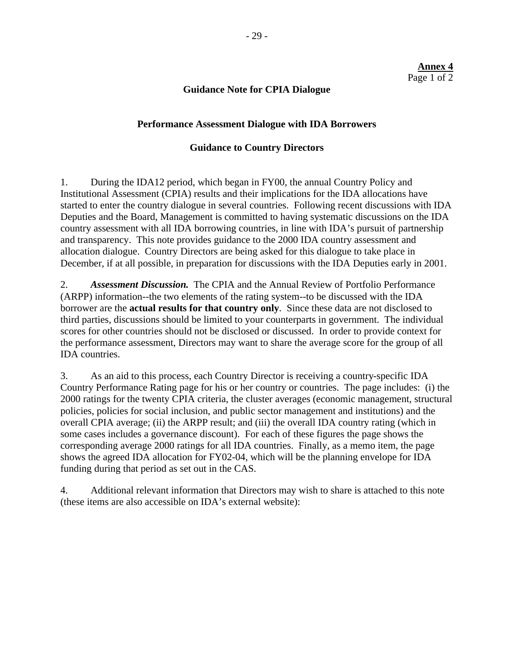#### **Annex 4** Page 1 of 2

#### **Guidance Note for CPIA Dialogue**

#### **Performance Assessment Dialogue with IDA Borrowers**

#### **Guidance to Country Directors**

1. During the IDA12 period, which began in FY00, the annual Country Policy and Institutional Assessment (CPIA) results and their implications for the IDA allocations have started to enter the country dialogue in several countries. Following recent discussions with IDA Deputies and the Board, Management is committed to having systematic discussions on the IDA country assessment with all IDA borrowing countries, in line with IDA's pursuit of partnership and transparency. This note provides guidance to the 2000 IDA country assessment and allocation dialogue. Country Directors are being asked for this dialogue to take place in December, if at all possible, in preparation for discussions with the IDA Deputies early in 2001.

2. *Assessment Discussion.* The CPIA and the Annual Review of Portfolio Performance (ARPP) information--the two elements of the rating system--to be discussed with the IDA borrower are the **actual results for that country only**. Since these data are not disclosed to third parties, discussions should be limited to your counterparts in government. The individual scores for other countries should not be disclosed or discussed. In order to provide context for the performance assessment, Directors may want to share the average score for the group of all IDA countries.

3. As an aid to this process, each Country Director is receiving a country-specific IDA Country Performance Rating page for his or her country or countries. The page includes: (i) the 2000 ratings for the twenty CPIA criteria, the cluster averages (economic management, structural policies, policies for social inclusion, and public sector management and institutions) and the overall CPIA average; (ii) the ARPP result; and (iii) the overall IDA country rating (which in some cases includes a governance discount). For each of these figures the page shows the corresponding average 2000 ratings for all IDA countries. Finally, as a memo item, the page shows the agreed IDA allocation for FY02-04, which will be the planning envelope for IDA funding during that period as set out in the CAS.

4. Additional relevant information that Directors may wish to share is attached to this note (these items are also accessible on IDA's external website):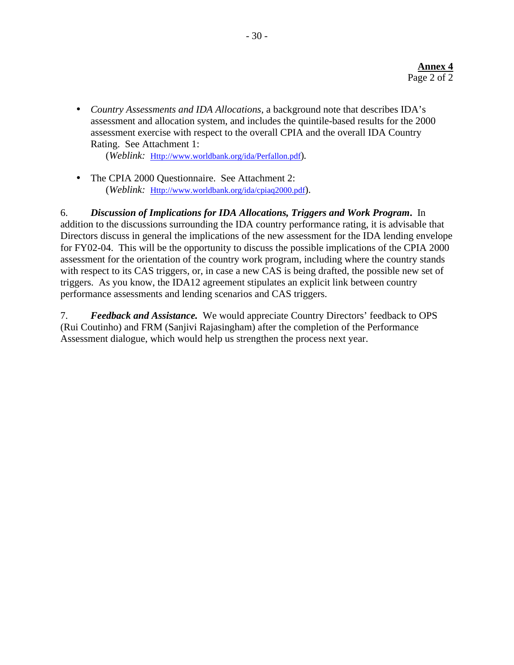• *Country Assessments and IDA Allocations*, a background note that describes IDA's assessment and allocation system, and includes the quintile-based results for the 2000 assessment exercise with respect to the overall CPIA and the overall IDA Country Rating. See Attachment 1:

(*Weblink:* Http://www.worldbank.org/ida/Perfallon.pdf)*.*

• The CPIA 2000 Questionnaire. See Attachment 2: (*Weblink:* Http://www.worldbank.org/ida/cpiaq2000.pdf).

6. *Discussion of Implications for IDA Allocations, Triggers and Work Program***.** In addition to the discussions surrounding the IDA country performance rating, it is advisable that Directors discuss in general the implications of the new assessment for the IDA lending envelope for FY02-04. This will be the opportunity to discuss the possible implications of the CPIA 2000 assessment for the orientation of the country work program, including where the country stands with respect to its CAS triggers, or, in case a new CAS is being drafted, the possible new set of triggers. As you know, the IDA12 agreement stipulates an explicit link between country performance assessments and lending scenarios and CAS triggers.

7. *Feedback and Assistance.*We would appreciate Country Directors' feedback to OPS (Rui Coutinho) and FRM (Sanjivi Rajasingham) after the completion of the Performance Assessment dialogue, which would help us strengthen the process next year.